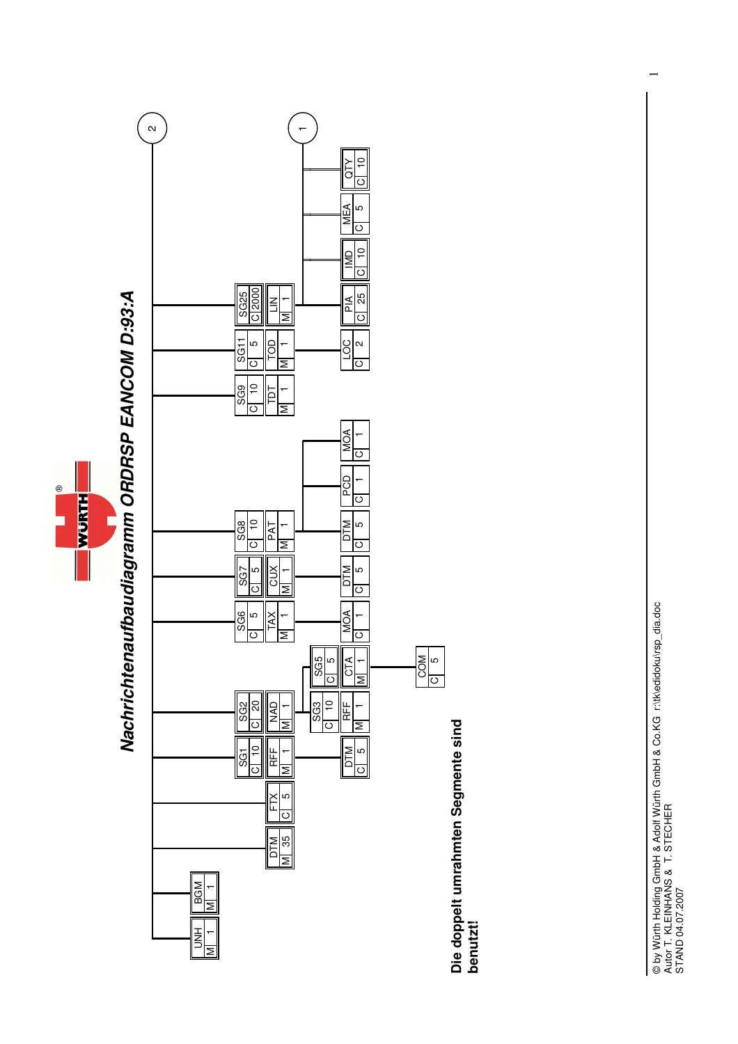

 $\overline{\phantom{0}}$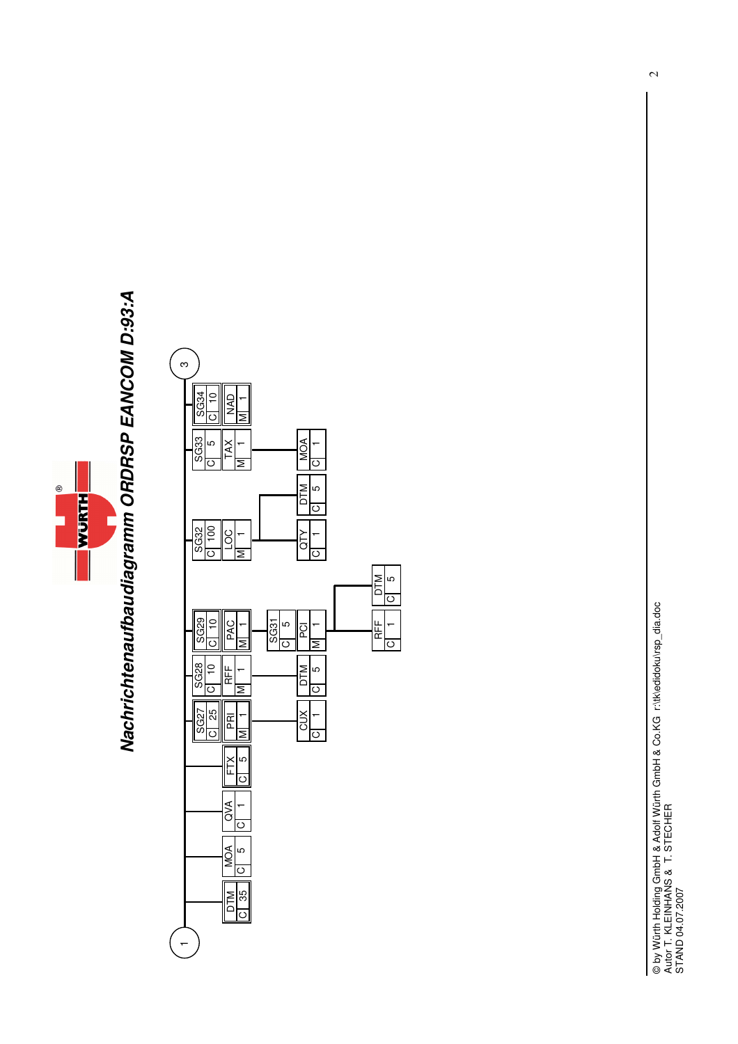

## Nachrichtenaufbaudiagramm ORDRSP EANCOM D:93:A **Nachrichtenaufbaudiagramm ORDRSP EANCOM D:93:A**

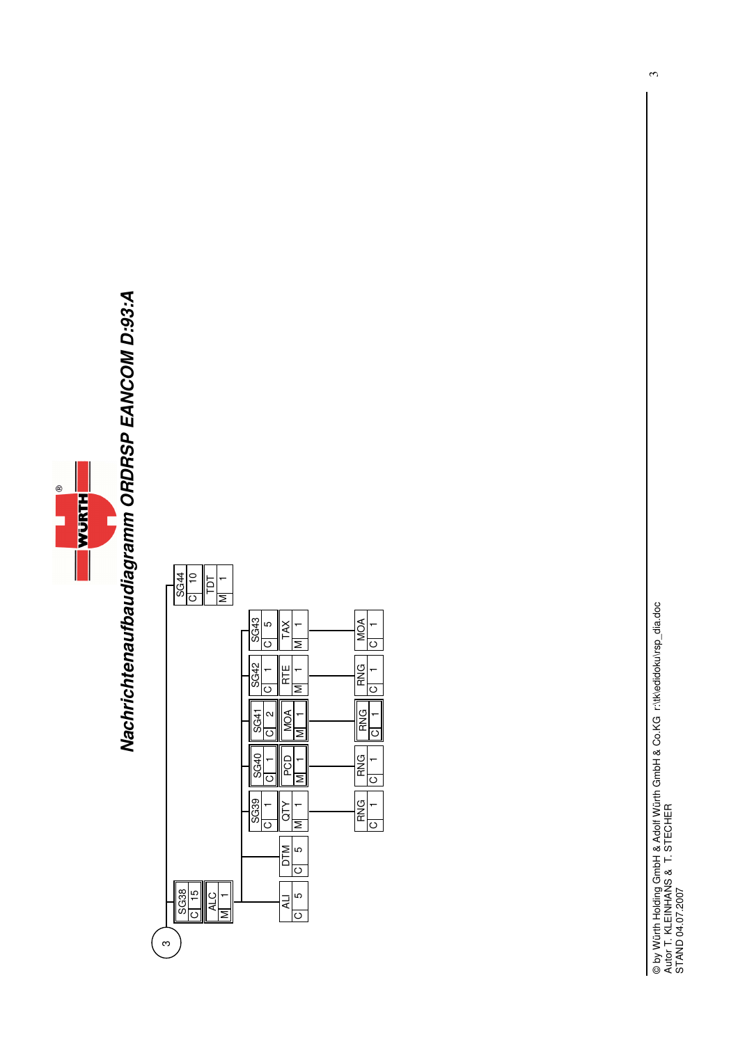

## Nachrichtenaufbaudiagramm ORDRSP EANCOM D:93:A **Nachrichtenaufbaudiagramm ORDRSP EANCOM D:93:A**